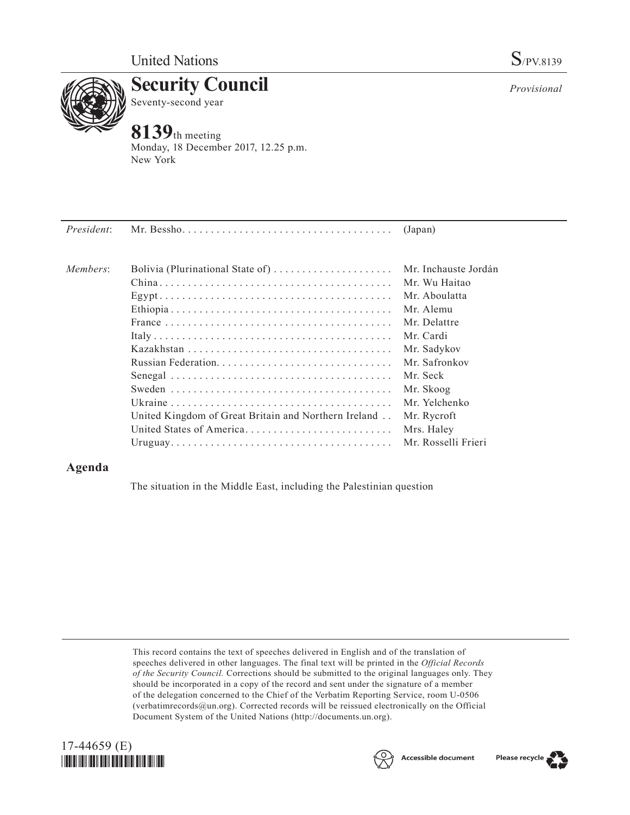

**Security Council** Seventy-second year

## **8139**th meeting

Monday, 18 December 2017, 12.25 p.m. New York

| President: | Mr. Bessho. $\dots \dots \dots \dots \dots \dots \dots \dots \dots \dots \dots \dots \dots$ | (Japan)              |
|------------|---------------------------------------------------------------------------------------------|----------------------|
| Members:   | Bolivia (Plurinational State of)                                                            | Mr. Inchauste Jordán |
|            |                                                                                             | Mr. Wu Haitao        |
|            |                                                                                             | Mr. Aboulatta        |
|            |                                                                                             | Mr. Alemu            |
|            |                                                                                             | Mr. Delattre         |
|            |                                                                                             | Mr. Cardi            |
|            |                                                                                             | Mr. Sadykov          |
|            |                                                                                             | Mr. Safronkov        |
|            |                                                                                             | Mr. Seck             |
|            |                                                                                             | Mr. Skoog            |
|            |                                                                                             | Mr. Yelchenko        |
|            | United Kingdom of Great Britain and Northern Ireland                                        | Mr. Rycroft          |
|            | United States of America                                                                    | Mrs. Haley           |
|            |                                                                                             | Mr. Rosselli Frieri  |

## **Agenda**

The situation in the Middle East, including the Palestinian question

This record contains the text of speeches delivered in English and of the translation of speeches delivered in other languages. The final text will be printed in the *Official Records of the Security Council.* Corrections should be submitted to the original languages only. They should be incorporated in a copy of the record and sent under the signature of a member of the delegation concerned to the Chief of the Verbatim Reporting Service, room U-0506 (verbatimrecords $@un.org$ ). Corrected records will be reissued electronically on the Official Document System of the United Nations [\(http://documents.un.org\)](http://documents.un.org).







*Provisional*

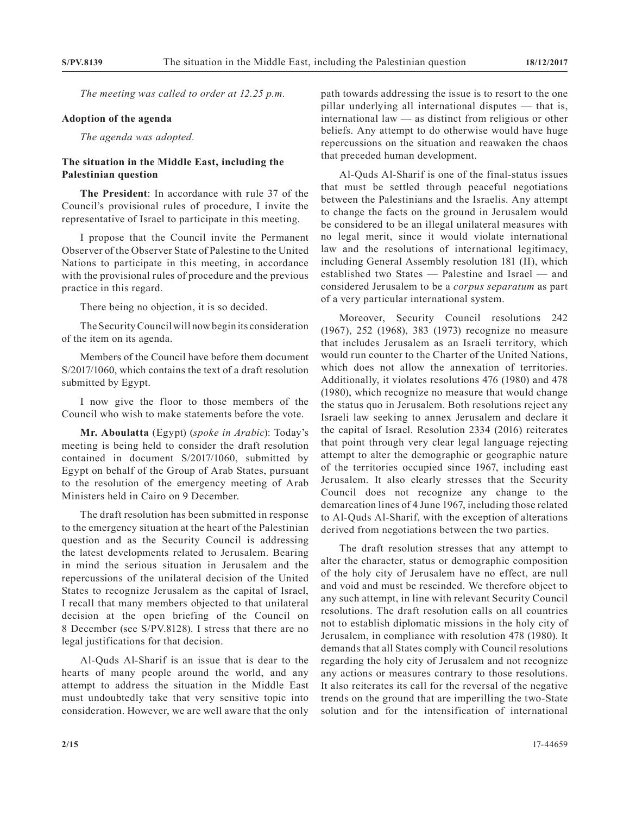*The meeting was called to order at 12.25 p.m.*

## **Adoption of the agenda**

*The agenda was adopted.*

## **The situation in the Middle East, including the Palestinian question**

**The President**: In accordance with rule 37 of the Council's provisional rules of procedure, I invite the representative of Israel to participate in this meeting.

I propose that the Council invite the Permanent Observer of the Observer State of Palestine to the United Nations to participate in this meeting, in accordance with the provisional rules of procedure and the previous practice in this regard.

There being no objection, it is so decided.

The Security Council will now begin its consideration of the item on its agenda.

Members of the Council have before them document S/2017/1060, which contains the text of a draft resolution submitted by Egypt.

I now give the floor to those members of the Council who wish to make statements before the vote.

**Mr. Aboulatta** (Egypt) (*spoke in Arabic*): Today's meeting is being held to consider the draft resolution contained in document S/2017/1060, submitted by Egypt on behalf of the Group of Arab States, pursuant to the resolution of the emergency meeting of Arab Ministers held in Cairo on 9 December.

The draft resolution has been submitted in response to the emergency situation at the heart of the Palestinian question and as the Security Council is addressing the latest developments related to Jerusalem. Bearing in mind the serious situation in Jerusalem and the repercussions of the unilateral decision of the United States to recognize Jerusalem as the capital of Israel, I recall that many members objected to that unilateral decision at the open briefing of the Council on 8 December (see S/PV.8128). I stress that there are no legal justifications for that decision.

Al-Quds Al-Sharif is an issue that is dear to the hearts of many people around the world, and any attempt to address the situation in the Middle East must undoubtedly take that very sensitive topic into consideration. However, we are well aware that the only

path towards addressing the issue is to resort to the one pillar underlying all international disputes — that is, international law — as distinct from religious or other beliefs. Any attempt to do otherwise would have huge repercussions on the situation and reawaken the chaos that preceded human development.

Al-Quds Al-Sharif is one of the final-status issues that must be settled through peaceful negotiations between the Palestinians and the Israelis. Any attempt to change the facts on the ground in Jerusalem would be considered to be an illegal unilateral measures with no legal merit, since it would violate international law and the resolutions of international legitimacy, including General Assembly resolution 181 (II), which established two States — Palestine and Israel — and considered Jerusalem to be a *corpus separatum* as part of a very particular international system.

Moreover, Security Council resolutions 242 (1967), 252 (1968), 383 (1973) recognize no measure that includes Jerusalem as an Israeli territory, which would run counter to the Charter of the United Nations, which does not allow the annexation of territories. Additionally, it violates resolutions 476 (1980) and 478 (1980), which recognize no measure that would change the status quo in Jerusalem. Both resolutions reject any Israeli law seeking to annex Jerusalem and declare it the capital of Israel. Resolution 2334 (2016) reiterates that point through very clear legal language rejecting attempt to alter the demographic or geographic nature of the territories occupied since 1967, including east Jerusalem. It also clearly stresses that the Security Council does not recognize any change to the demarcation lines of 4 June 1967, including those related to Al-Quds Al-Sharif, with the exception of alterations derived from negotiations between the two parties.

The draft resolution stresses that any attempt to alter the character, status or demographic composition of the holy city of Jerusalem have no effect, are null and void and must be rescinded. We therefore object to any such attempt, in line with relevant Security Council resolutions. The draft resolution calls on all countries not to establish diplomatic missions in the holy city of Jerusalem, in compliance with resolution 478 (1980). It demands that all States comply with Council resolutions regarding the holy city of Jerusalem and not recognize any actions or measures contrary to those resolutions. It also reiterates its call for the reversal of the negative trends on the ground that are imperilling the two-State solution and for the intensification of international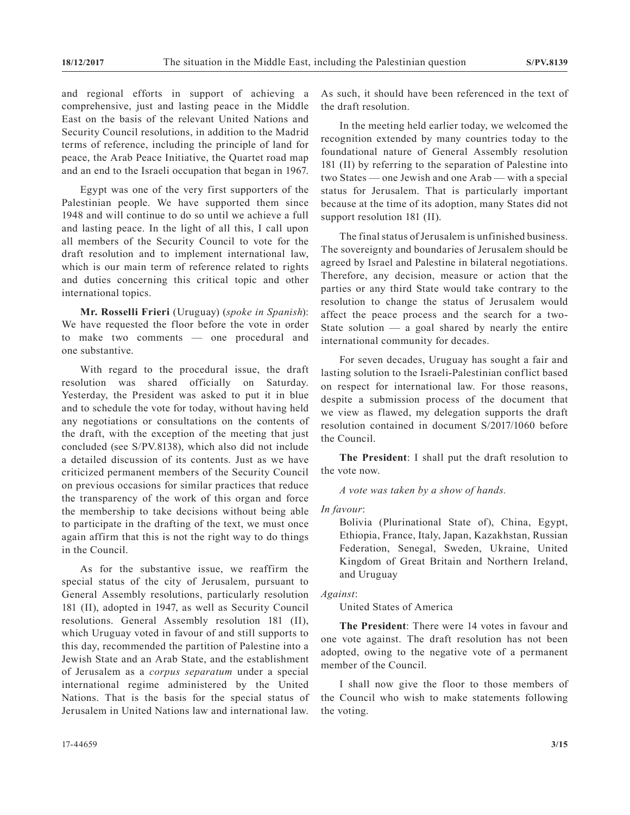and regional efforts in support of achieving a comprehensive, just and lasting peace in the Middle East on the basis of the relevant United Nations and Security Council resolutions, in addition to the Madrid terms of reference, including the principle of land for peace, the Arab Peace Initiative, the Quartet road map and an end to the Israeli occupation that began in 1967.

Egypt was one of the very first supporters of the Palestinian people. We have supported them since 1948 and will continue to do so until we achieve a full and lasting peace. In the light of all this, I call upon all members of the Security Council to vote for the draft resolution and to implement international law, which is our main term of reference related to rights and duties concerning this critical topic and other international topics.

**Mr. Rosselli Frieri** (Uruguay) (*spoke in Spanish*): We have requested the floor before the vote in order to make two comments — one procedural and one substantive.

With regard to the procedural issue, the draft resolution was shared officially on Saturday. Yesterday, the President was asked to put it in blue and to schedule the vote for today, without having held any negotiations or consultations on the contents of the draft, with the exception of the meeting that just concluded (see S/PV.8138), which also did not include a detailed discussion of its contents. Just as we have criticized permanent members of the Security Council on previous occasions for similar practices that reduce the transparency of the work of this organ and force the membership to take decisions without being able to participate in the drafting of the text, we must once again affirm that this is not the right way to do things in the Council.

As for the substantive issue, we reaffirm the special status of the city of Jerusalem, pursuant to General Assembly resolutions, particularly resolution 181 (II), adopted in 1947, as well as Security Council resolutions. General Assembly resolution 181 (II), which Uruguay voted in favour of and still supports to this day, recommended the partition of Palestine into a Jewish State and an Arab State, and the establishment of Jerusalem as a *corpus separatum* under a special international regime administered by the United Nations. That is the basis for the special status of Jerusalem in United Nations law and international law.

As such, it should have been referenced in the text of the draft resolution.

In the meeting held earlier today, we welcomed the recognition extended by many countries today to the foundational nature of General Assembly resolution 181 (II) by referring to the separation of Palestine into two States — one Jewish and one Arab — with a special status for Jerusalem. That is particularly important because at the time of its adoption, many States did not support resolution 181 (II).

The final status of Jerusalem is unfinished business. The sovereignty and boundaries of Jerusalem should be agreed by Israel and Palestine in bilateral negotiations. Therefore, any decision, measure or action that the parties or any third State would take contrary to the resolution to change the status of Jerusalem would affect the peace process and the search for a two-State solution  $-$  a goal shared by nearly the entire international community for decades.

For seven decades, Uruguay has sought a fair and lasting solution to the Israeli-Palestinian conflict based on respect for international law. For those reasons, despite a submission process of the document that we view as flawed, my delegation supports the draft resolution contained in document S/2017/1060 before the Council.

**The President**: I shall put the draft resolution to the vote now.

*A vote was taken by a show of hands.*

*In favour*:

Bolivia (Plurinational State of), China, Egypt, Ethiopia, France, Italy, Japan, Kazakhstan, Russian Federation, Senegal, Sweden, Ukraine, United Kingdom of Great Britain and Northern Ireland, and Uruguay

*Against*:

United States of America

**The President**: There were 14 votes in favour and one vote against. The draft resolution has not been adopted, owing to the negative vote of a permanent member of the Council.

I shall now give the floor to those members of the Council who wish to make statements following the voting.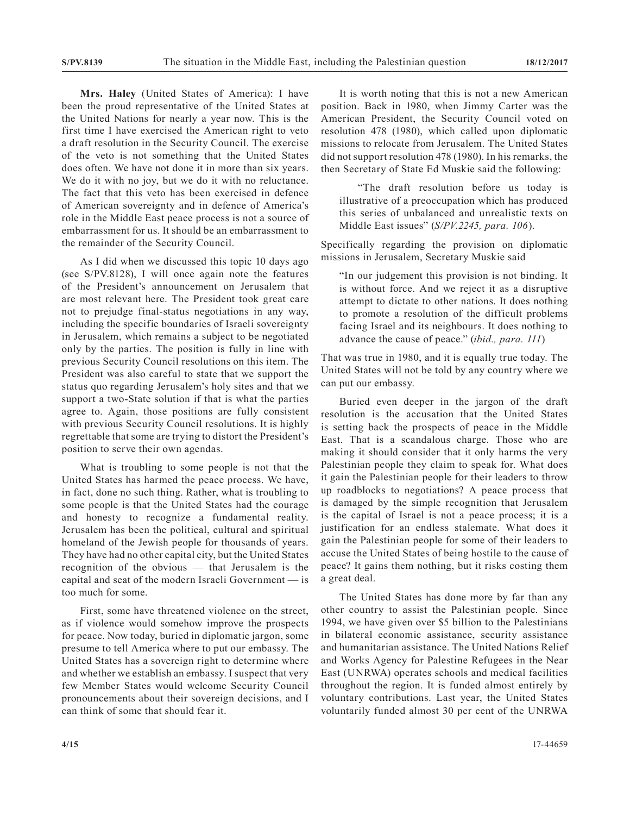**Mrs. Haley** (United States of America): I have been the proud representative of the United States at the United Nations for nearly a year now. This is the first time I have exercised the American right to veto a draft resolution in the Security Council. The exercise of the veto is not something that the United States does often. We have not done it in more than six years. We do it with no joy, but we do it with no reluctance. The fact that this veto has been exercised in defence of American sovereignty and in defence of America's role in the Middle East peace process is not a source of embarrassment for us. It should be an embarrassment to the remainder of the Security Council.

As I did when we discussed this topic 10 days ago (see S/PV.8128), I will once again note the features of the President's announcement on Jerusalem that are most relevant here. The President took great care not to prejudge final-status negotiations in any way, including the specific boundaries of Israeli sovereignty in Jerusalem, which remains a subject to be negotiated only by the parties. The position is fully in line with previous Security Council resolutions on this item. The President was also careful to state that we support the status quo regarding Jerusalem's holy sites and that we support a two-State solution if that is what the parties agree to. Again, those positions are fully consistent with previous Security Council resolutions. It is highly regrettable that some are trying to distort the President's position to serve their own agendas.

What is troubling to some people is not that the United States has harmed the peace process. We have, in fact, done no such thing. Rather, what is troubling to some people is that the United States had the courage and honesty to recognize a fundamental reality. Jerusalem has been the political, cultural and spiritual homeland of the Jewish people for thousands of years. They have had no other capital city, but the United States recognition of the obvious — that Jerusalem is the capital and seat of the modern Israeli Government — is too much for some.

First, some have threatened violence on the street, as if violence would somehow improve the prospects for peace. Now today, buried in diplomatic jargon, some presume to tell America where to put our embassy. The United States has a sovereign right to determine where and whether we establish an embassy. I suspect that very few Member States would welcome Security Council pronouncements about their sovereign decisions, and I can think of some that should fear it.

It is worth noting that this is not a new American position. Back in 1980, when Jimmy Carter was the American President, the Security Council voted on resolution 478 (1980), which called upon diplomatic missions to relocate from Jerusalem. The United States did not support resolution 478 (1980). In his remarks, the then Secretary of State Ed Muskie said the following:

"The draft resolution before us today is illustrative of a preoccupation which has produced this series of unbalanced and unrealistic texts on Middle East issues" (*S/PV.2245, para. 106*).

Specifically regarding the provision on diplomatic missions in Jerusalem, Secretary Muskie said

"In our judgement this provision is not binding. It is without force. And we reject it as a disruptive attempt to dictate to other nations. It does nothing to promote a resolution of the difficult problems facing Israel and its neighbours. It does nothing to advance the cause of peace." (*ibid., para. 111*)

That was true in 1980, and it is equally true today. The United States will not be told by any country where we can put our embassy.

Buried even deeper in the jargon of the draft resolution is the accusation that the United States is setting back the prospects of peace in the Middle East. That is a scandalous charge. Those who are making it should consider that it only harms the very Palestinian people they claim to speak for. What does it gain the Palestinian people for their leaders to throw up roadblocks to negotiations? A peace process that is damaged by the simple recognition that Jerusalem is the capital of Israel is not a peace process; it is a justification for an endless stalemate. What does it gain the Palestinian people for some of their leaders to accuse the United States of being hostile to the cause of peace? It gains them nothing, but it risks costing them a great deal.

The United States has done more by far than any other country to assist the Palestinian people. Since 1994, we have given over \$5 billion to the Palestinians in bilateral economic assistance, security assistance and humanitarian assistance. The United Nations Relief and Works Agency for Palestine Refugees in the Near East (UNRWA) operates schools and medical facilities throughout the region. It is funded almost entirely by voluntary contributions. Last year, the United States voluntarily funded almost 30 per cent of the UNRWA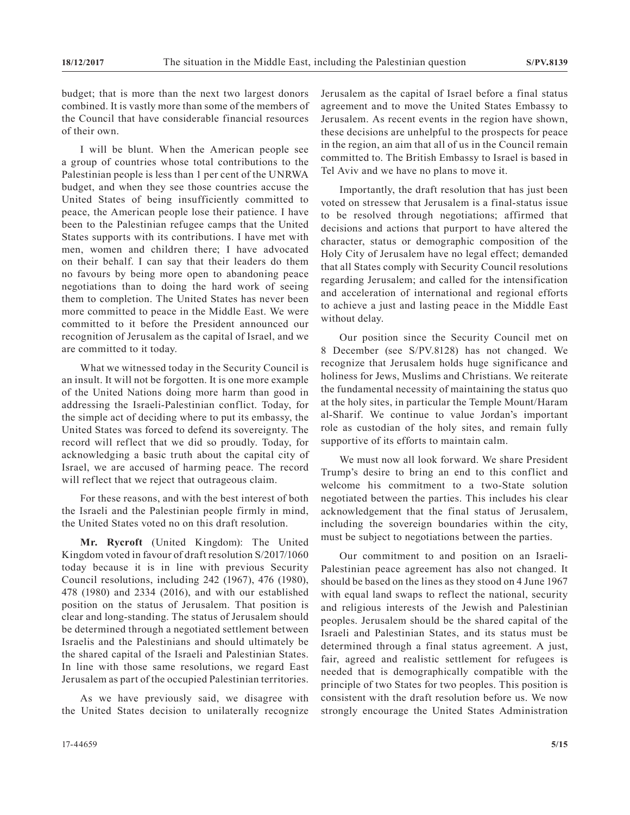budget; that is more than the next two largest donors combined. It is vastly more than some of the members of the Council that have considerable financial resources of their own.

I will be blunt. When the American people see a group of countries whose total contributions to the Palestinian people is less than 1 per cent of the UNRWA budget, and when they see those countries accuse the United States of being insufficiently committed to peace, the American people lose their patience. I have been to the Palestinian refugee camps that the United States supports with its contributions. I have met with men, women and children there; I have advocated on their behalf. I can say that their leaders do them no favours by being more open to abandoning peace negotiations than to doing the hard work of seeing them to completion. The United States has never been more committed to peace in the Middle East. We were committed to it before the President announced our recognition of Jerusalem as the capital of Israel, and we are committed to it today.

What we witnessed today in the Security Council is an insult. It will not be forgotten. It is one more example of the United Nations doing more harm than good in addressing the Israeli-Palestinian conflict. Today, for the simple act of deciding where to put its embassy, the United States was forced to defend its sovereignty. The record will reflect that we did so proudly. Today, for acknowledging a basic truth about the capital city of Israel, we are accused of harming peace. The record will reflect that we reject that outrageous claim.

For these reasons, and with the best interest of both the Israeli and the Palestinian people firmly in mind, the United States voted no on this draft resolution.

**Mr. Rycroft** (United Kingdom): The United Kingdom voted in favour of draft resolution S/2017/1060 today because it is in line with previous Security Council resolutions, including 242 (1967), 476 (1980), 478 (1980) and 2334 (2016), and with our established position on the status of Jerusalem. That position is clear and long-standing. The status of Jerusalem should be determined through a negotiated settlement between Israelis and the Palestinians and should ultimately be the shared capital of the Israeli and Palestinian States. In line with those same resolutions, we regard East Jerusalem as part of the occupied Palestinian territories.

As we have previously said, we disagree with the United States decision to unilaterally recognize Jerusalem as the capital of Israel before a final status agreement and to move the United States Embassy to Jerusalem. As recent events in the region have shown, these decisions are unhelpful to the prospects for peace in the region, an aim that all of us in the Council remain committed to. The British Embassy to Israel is based in Tel Aviv and we have no plans to move it.

Importantly, the draft resolution that has just been voted on stressew that Jerusalem is a final-status issue to be resolved through negotiations; affirmed that decisions and actions that purport to have altered the character, status or demographic composition of the Holy City of Jerusalem have no legal effect; demanded that all States comply with Security Council resolutions regarding Jerusalem; and called for the intensification and acceleration of international and regional efforts to achieve a just and lasting peace in the Middle East without delay.

Our position since the Security Council met on 8 December (see S/PV.8128) has not changed. We recognize that Jerusalem holds huge significance and holiness for Jews, Muslims and Christians. We reiterate the fundamental necessity of maintaining the status quo at the holy sites, in particular the Temple Mount/Haram al-Sharif. We continue to value Jordan's important role as custodian of the holy sites, and remain fully supportive of its efforts to maintain calm.

We must now all look forward. We share President Trump's desire to bring an end to this conflict and welcome his commitment to a two-State solution negotiated between the parties. This includes his clear acknowledgement that the final status of Jerusalem, including the sovereign boundaries within the city, must be subject to negotiations between the parties.

Our commitment to and position on an Israeli-Palestinian peace agreement has also not changed. It should be based on the lines as they stood on 4 June 1967 with equal land swaps to reflect the national, security and religious interests of the Jewish and Palestinian peoples. Jerusalem should be the shared capital of the Israeli and Palestinian States, and its status must be determined through a final status agreement. A just, fair, agreed and realistic settlement for refugees is needed that is demographically compatible with the principle of two States for two peoples. This position is consistent with the draft resolution before us. We now strongly encourage the United States Administration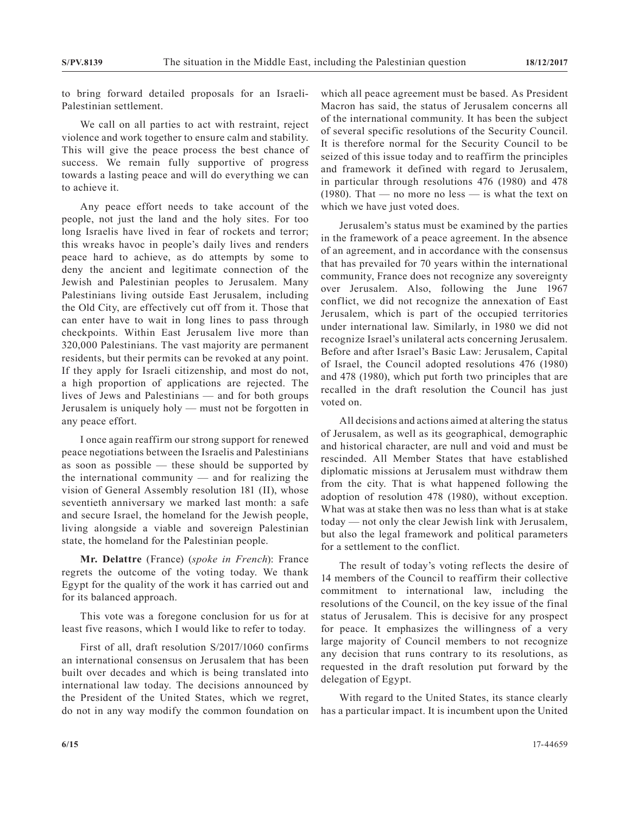to bring forward detailed proposals for an Israeli-Palestinian settlement.

We call on all parties to act with restraint, reject violence and work together to ensure calm and stability. This will give the peace process the best chance of success. We remain fully supportive of progress towards a lasting peace and will do everything we can to achieve it.

Any peace effort needs to take account of the people, not just the land and the holy sites. For too long Israelis have lived in fear of rockets and terror; this wreaks havoc in people's daily lives and renders peace hard to achieve, as do attempts by some to deny the ancient and legitimate connection of the Jewish and Palestinian peoples to Jerusalem. Many Palestinians living outside East Jerusalem, including the Old City, are effectively cut off from it. Those that can enter have to wait in long lines to pass through checkpoints. Within East Jerusalem live more than 320,000 Palestinians. The vast majority are permanent residents, but their permits can be revoked at any point. If they apply for Israeli citizenship, and most do not, a high proportion of applications are rejected. The lives of Jews and Palestinians — and for both groups Jerusalem is uniquely holy — must not be forgotten in any peace effort.

I once again reaffirm our strong support for renewed peace negotiations between the Israelis and Palestinians as soon as possible — these should be supported by the international community — and for realizing the vision of General Assembly resolution 181 (II), whose seventieth anniversary we marked last month: a safe and secure Israel, the homeland for the Jewish people, living alongside a viable and sovereign Palestinian state, the homeland for the Palestinian people.

**Mr. Delattre** (France) (*spoke in French*): France regrets the outcome of the voting today. We thank Egypt for the quality of the work it has carried out and for its balanced approach.

This vote was a foregone conclusion for us for at least five reasons, which I would like to refer to today.

First of all, draft resolution S/2017/1060 confirms an international consensus on Jerusalem that has been built over decades and which is being translated into international law today. The decisions announced by the President of the United States, which we regret, do not in any way modify the common foundation on

which all peace agreement must be based. As President Macron has said, the status of Jerusalem concerns all of the international community. It has been the subject of several specific resolutions of the Security Council. It is therefore normal for the Security Council to be seized of this issue today and to reaffirm the principles and framework it defined with regard to Jerusalem, in particular through resolutions 476 (1980) and 478 (1980). That — no more no less — is what the text on which we have just voted does.

Jerusalem's status must be examined by the parties in the framework of a peace agreement. In the absence of an agreement, and in accordance with the consensus that has prevailed for 70 years within the international community, France does not recognize any sovereignty over Jerusalem. Also, following the June 1967 conflict, we did not recognize the annexation of East Jerusalem, which is part of the occupied territories under international law. Similarly, in 1980 we did not recognize Israel's unilateral acts concerning Jerusalem. Before and after Israel's Basic Law: Jerusalem, Capital of Israel, the Council adopted resolutions 476 (1980) and 478 (1980), which put forth two principles that are recalled in the draft resolution the Council has just voted on.

All decisions and actions aimed at altering the status of Jerusalem, as well as its geographical, demographic and historical character, are null and void and must be rescinded. All Member States that have established diplomatic missions at Jerusalem must withdraw them from the city. That is what happened following the adoption of resolution 478 (1980), without exception. What was at stake then was no less than what is at stake today — not only the clear Jewish link with Jerusalem, but also the legal framework and political parameters for a settlement to the conflict.

The result of today's voting reflects the desire of 14 members of the Council to reaffirm their collective commitment to international law, including the resolutions of the Council, on the key issue of the final status of Jerusalem. This is decisive for any prospect for peace. It emphasizes the willingness of a very large majority of Council members to not recognize any decision that runs contrary to its resolutions, as requested in the draft resolution put forward by the delegation of Egypt.

With regard to the United States, its stance clearly has a particular impact. It is incumbent upon the United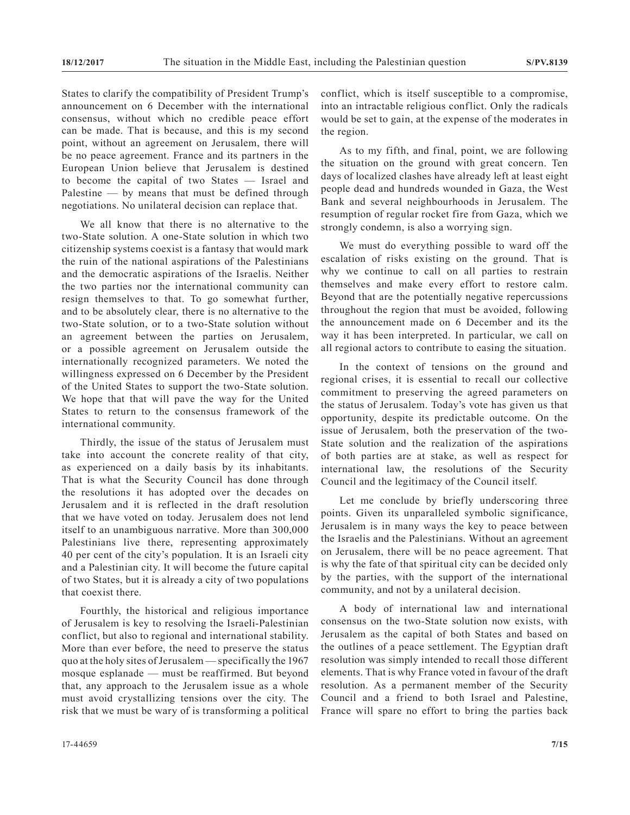States to clarify the compatibility of President Trump's announcement on 6 December with the international consensus, without which no credible peace effort can be made. That is because, and this is my second point, without an agreement on Jerusalem, there will be no peace agreement. France and its partners in the European Union believe that Jerusalem is destined to become the capital of two States — Israel and Palestine — by means that must be defined through negotiations. No unilateral decision can replace that.

We all know that there is no alternative to the two-State solution. A one-State solution in which two citizenship systems coexist is a fantasy that would mark the ruin of the national aspirations of the Palestinians and the democratic aspirations of the Israelis. Neither the two parties nor the international community can resign themselves to that. To go somewhat further, and to be absolutely clear, there is no alternative to the two-State solution, or to a two-State solution without an agreement between the parties on Jerusalem, or a possible agreement on Jerusalem outside the internationally recognized parameters. We noted the willingness expressed on 6 December by the President of the United States to support the two-State solution. We hope that that will pave the way for the United States to return to the consensus framework of the international community.

Thirdly, the issue of the status of Jerusalem must take into account the concrete reality of that city, as experienced on a daily basis by its inhabitants. That is what the Security Council has done through the resolutions it has adopted over the decades on Jerusalem and it is reflected in the draft resolution that we have voted on today. Jerusalem does not lend itself to an unambiguous narrative. More than 300,000 Palestinians live there, representing approximately 40 per cent of the city's population. It is an Israeli city and a Palestinian city. It will become the future capital of two States, but it is already a city of two populations that coexist there.

Fourthly, the historical and religious importance of Jerusalem is key to resolving the Israeli-Palestinian conflict, but also to regional and international stability. More than ever before, the need to preserve the status quo at the holy sites of Jerusalem — specifically the 1967 mosque esplanade — must be reaffirmed. But beyond that, any approach to the Jerusalem issue as a whole must avoid crystallizing tensions over the city. The risk that we must be wary of is transforming a political conflict, which is itself susceptible to a compromise, into an intractable religious conflict. Only the radicals would be set to gain, at the expense of the moderates in the region.

As to my fifth, and final, point, we are following the situation on the ground with great concern. Ten days of localized clashes have already left at least eight people dead and hundreds wounded in Gaza, the West Bank and several neighbourhoods in Jerusalem. The resumption of regular rocket fire from Gaza, which we strongly condemn, is also a worrying sign.

We must do everything possible to ward off the escalation of risks existing on the ground. That is why we continue to call on all parties to restrain themselves and make every effort to restore calm. Beyond that are the potentially negative repercussions throughout the region that must be avoided, following the announcement made on 6 December and its the way it has been interpreted. In particular, we call on all regional actors to contribute to easing the situation.

In the context of tensions on the ground and regional crises, it is essential to recall our collective commitment to preserving the agreed parameters on the status of Jerusalem. Today's vote has given us that opportunity, despite its predictable outcome. On the issue of Jerusalem, both the preservation of the two-State solution and the realization of the aspirations of both parties are at stake, as well as respect for international law, the resolutions of the Security Council and the legitimacy of the Council itself.

Let me conclude by briefly underscoring three points. Given its unparalleled symbolic significance, Jerusalem is in many ways the key to peace between the Israelis and the Palestinians. Without an agreement on Jerusalem, there will be no peace agreement. That is why the fate of that spiritual city can be decided only by the parties, with the support of the international community, and not by a unilateral decision.

A body of international law and international consensus on the two-State solution now exists, with Jerusalem as the capital of both States and based on the outlines of a peace settlement. The Egyptian draft resolution was simply intended to recall those different elements. That is why France voted in favour of the draft resolution. As a permanent member of the Security Council and a friend to both Israel and Palestine, France will spare no effort to bring the parties back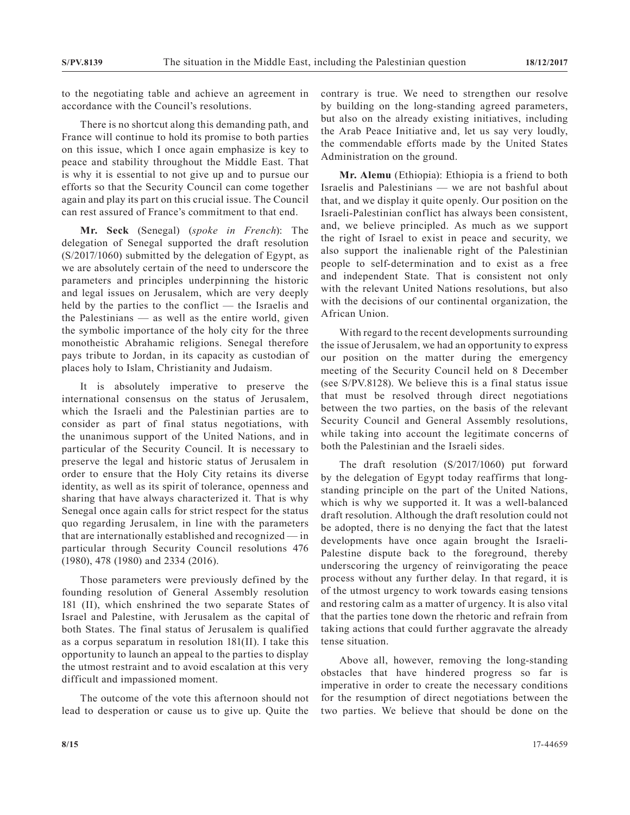to the negotiating table and achieve an agreement in accordance with the Council's resolutions.

There is no shortcut along this demanding path, and France will continue to hold its promise to both parties on this issue, which I once again emphasize is key to peace and stability throughout the Middle East. That is why it is essential to not give up and to pursue our efforts so that the Security Council can come together again and play its part on this crucial issue. The Council can rest assured of France's commitment to that end.

**Mr. Seck** (Senegal) (*spoke in French*): The delegation of Senegal supported the draft resolution (S/2017/1060) submitted by the delegation of Egypt, as we are absolutely certain of the need to underscore the parameters and principles underpinning the historic and legal issues on Jerusalem, which are very deeply held by the parties to the conflict — the Israelis and the Palestinians — as well as the entire world, given the symbolic importance of the holy city for the three monotheistic Abrahamic religions. Senegal therefore pays tribute to Jordan, in its capacity as custodian of places holy to Islam, Christianity and Judaism.

It is absolutely imperative to preserve the international consensus on the status of Jerusalem, which the Israeli and the Palestinian parties are to consider as part of final status negotiations, with the unanimous support of the United Nations, and in particular of the Security Council. It is necessary to preserve the legal and historic status of Jerusalem in order to ensure that the Holy City retains its diverse identity, as well as its spirit of tolerance, openness and sharing that have always characterized it. That is why Senegal once again calls for strict respect for the status quo regarding Jerusalem, in line with the parameters that are internationally established and recognized — in particular through Security Council resolutions 476 (1980), 478 (1980) and 2334 (2016).

Those parameters were previously defined by the founding resolution of General Assembly resolution 181 (II), which enshrined the two separate States of Israel and Palestine, with Jerusalem as the capital of both States. The final status of Jerusalem is qualified as a corpus separatum in resolution 181(II). I take this opportunity to launch an appeal to the parties to display the utmost restraint and to avoid escalation at this very difficult and impassioned moment.

The outcome of the vote this afternoon should not lead to desperation or cause us to give up. Quite the contrary is true. We need to strengthen our resolve by building on the long-standing agreed parameters, but also on the already existing initiatives, including the Arab Peace Initiative and, let us say very loudly, the commendable efforts made by the United States Administration on the ground.

**Mr. Alemu** (Ethiopia): Ethiopia is a friend to both Israelis and Palestinians — we are not bashful about that, and we display it quite openly. Our position on the Israeli-Palestinian conflict has always been consistent, and, we believe principled. As much as we support the right of Israel to exist in peace and security, we also support the inalienable right of the Palestinian people to self-determination and to exist as a free and independent State. That is consistent not only with the relevant United Nations resolutions, but also with the decisions of our continental organization, the African Union.

With regard to the recent developments surrounding the issue of Jerusalem, we had an opportunity to express our position on the matter during the emergency meeting of the Security Council held on 8 December (see S/PV.8128). We believe this is a final status issue that must be resolved through direct negotiations between the two parties, on the basis of the relevant Security Council and General Assembly resolutions, while taking into account the legitimate concerns of both the Palestinian and the Israeli sides.

The draft resolution (S/2017/1060) put forward by the delegation of Egypt today reaffirms that longstanding principle on the part of the United Nations, which is why we supported it. It was a well-balanced draft resolution. Although the draft resolution could not be adopted, there is no denying the fact that the latest developments have once again brought the Israeli-Palestine dispute back to the foreground, thereby underscoring the urgency of reinvigorating the peace process without any further delay. In that regard, it is of the utmost urgency to work towards easing tensions and restoring calm as a matter of urgency. It is also vital that the parties tone down the rhetoric and refrain from taking actions that could further aggravate the already tense situation.

Above all, however, removing the long-standing obstacles that have hindered progress so far is imperative in order to create the necessary conditions for the resumption of direct negotiations between the two parties. We believe that should be done on the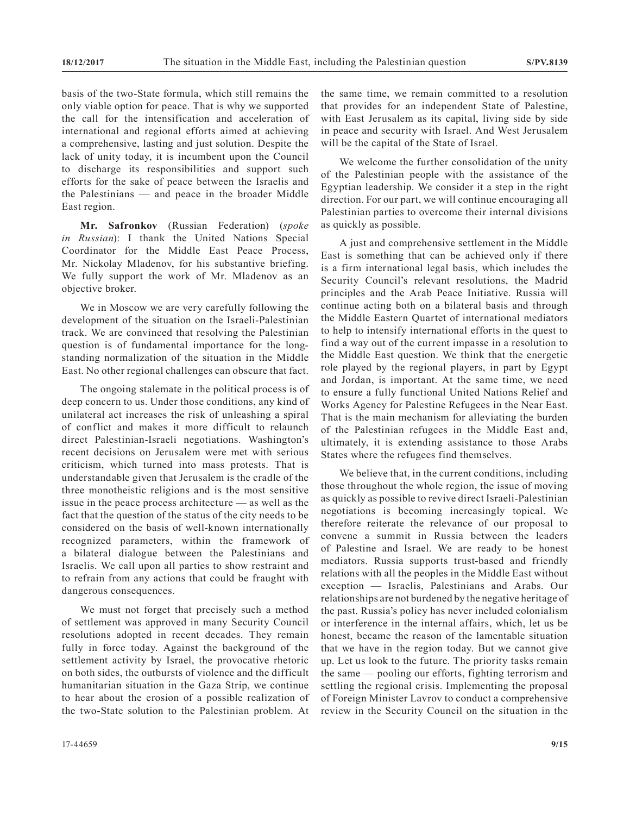basis of the two-State formula, which still remains the only viable option for peace. That is why we supported the call for the intensification and acceleration of international and regional efforts aimed at achieving a comprehensive, lasting and just solution. Despite the lack of unity today, it is incumbent upon the Council to discharge its responsibilities and support such efforts for the sake of peace between the Israelis and the Palestinians — and peace in the broader Middle East region.

**Mr. Safronkov** (Russian Federation) (*spoke in Russian*): I thank the United Nations Special Coordinator for the Middle East Peace Process, Mr. Nickolay Mladenov, for his substantive briefing. We fully support the work of Mr. Mladenov as an objective broker.

We in Moscow we are very carefully following the development of the situation on the Israeli-Palestinian track. We are convinced that resolving the Palestinian question is of fundamental importance for the longstanding normalization of the situation in the Middle East. No other regional challenges can obscure that fact.

The ongoing stalemate in the political process is of deep concern to us. Under those conditions, any kind of unilateral act increases the risk of unleashing a spiral of conflict and makes it more difficult to relaunch direct Palestinian-Israeli negotiations. Washington's recent decisions on Jerusalem were met with serious criticism, which turned into mass protests. That is understandable given that Jerusalem is the cradle of the three monotheistic religions and is the most sensitive issue in the peace process architecture — as well as the fact that the question of the status of the city needs to be considered on the basis of well-known internationally recognized parameters, within the framework of a bilateral dialogue between the Palestinians and Israelis. We call upon all parties to show restraint and to refrain from any actions that could be fraught with dangerous consequences.

We must not forget that precisely such a method of settlement was approved in many Security Council resolutions adopted in recent decades. They remain fully in force today. Against the background of the settlement activity by Israel, the provocative rhetoric on both sides, the outbursts of violence and the difficult humanitarian situation in the Gaza Strip, we continue to hear about the erosion of a possible realization of the two-State solution to the Palestinian problem. At

the same time, we remain committed to a resolution that provides for an independent State of Palestine, with East Jerusalem as its capital, living side by side in peace and security with Israel. And West Jerusalem will be the capital of the State of Israel.

We welcome the further consolidation of the unity of the Palestinian people with the assistance of the Egyptian leadership. We consider it a step in the right direction. For our part, we will continue encouraging all Palestinian parties to overcome their internal divisions as quickly as possible.

A just and comprehensive settlement in the Middle East is something that can be achieved only if there is a firm international legal basis, which includes the Security Council's relevant resolutions, the Madrid principles and the Arab Peace Initiative. Russia will continue acting both on a bilateral basis and through the Middle Eastern Quartet of international mediators to help to intensify international efforts in the quest to find a way out of the current impasse in a resolution to the Middle East question. We think that the energetic role played by the regional players, in part by Egypt and Jordan, is important. At the same time, we need to ensure a fully functional United Nations Relief and Works Agency for Palestine Refugees in the Near East. That is the main mechanism for alleviating the burden of the Palestinian refugees in the Middle East and, ultimately, it is extending assistance to those Arabs States where the refugees find themselves.

We believe that, in the current conditions, including those throughout the whole region, the issue of moving as quickly as possible to revive direct Israeli-Palestinian negotiations is becoming increasingly topical. We therefore reiterate the relevance of our proposal to convene a summit in Russia between the leaders of Palestine and Israel. We are ready to be honest mediators. Russia supports trust-based and friendly relations with all the peoples in the Middle East without exception — Israelis, Palestinians and Arabs. Our relationships are not burdened by the negative heritage of the past. Russia's policy has never included colonialism or interference in the internal affairs, which, let us be honest, became the reason of the lamentable situation that we have in the region today. But we cannot give up. Let us look to the future. The priority tasks remain the same — pooling our efforts, fighting terrorism and settling the regional crisis. Implementing the proposal of Foreign Minister Lavrov to conduct a comprehensive review in the Security Council on the situation in the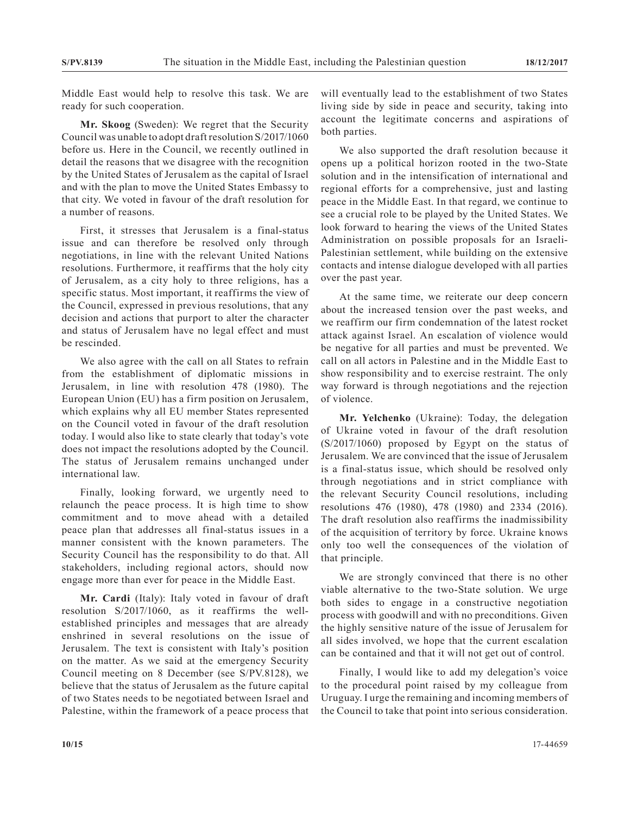Middle East would help to resolve this task. We are ready for such cooperation.

**Mr. Skoog** (Sweden): We regret that the Security Council was unable to adopt draft resolution S/2017/1060 before us. Here in the Council, we recently outlined in detail the reasons that we disagree with the recognition by the United States of Jerusalem as the capital of Israel and with the plan to move the United States Embassy to that city. We voted in favour of the draft resolution for a number of reasons.

First, it stresses that Jerusalem is a final-status issue and can therefore be resolved only through negotiations, in line with the relevant United Nations resolutions. Furthermore, it reaffirms that the holy city of Jerusalem, as a city holy to three religions, has a specific status. Most important, it reaffirms the view of the Council, expressed in previous resolutions, that any decision and actions that purport to alter the character and status of Jerusalem have no legal effect and must be rescinded.

We also agree with the call on all States to refrain from the establishment of diplomatic missions in Jerusalem, in line with resolution 478 (1980). The European Union (EU) has a firm position on Jerusalem, which explains why all EU member States represented on the Council voted in favour of the draft resolution today. I would also like to state clearly that today's vote does not impact the resolutions adopted by the Council. The status of Jerusalem remains unchanged under international law.

Finally, looking forward, we urgently need to relaunch the peace process. It is high time to show commitment and to move ahead with a detailed peace plan that addresses all final-status issues in a manner consistent with the known parameters. The Security Council has the responsibility to do that. All stakeholders, including regional actors, should now engage more than ever for peace in the Middle East.

**Mr. Cardi** (Italy): Italy voted in favour of draft resolution S/2017/1060, as it reaffirms the wellestablished principles and messages that are already enshrined in several resolutions on the issue of Jerusalem. The text is consistent with Italy's position on the matter. As we said at the emergency Security Council meeting on 8 December (see S/PV.8128), we believe that the status of Jerusalem as the future capital of two States needs to be negotiated between Israel and Palestine, within the framework of a peace process that

will eventually lead to the establishment of two States living side by side in peace and security, taking into account the legitimate concerns and aspirations of both parties.

We also supported the draft resolution because it opens up a political horizon rooted in the two-State solution and in the intensification of international and regional efforts for a comprehensive, just and lasting peace in the Middle East. In that regard, we continue to see a crucial role to be played by the United States. We look forward to hearing the views of the United States Administration on possible proposals for an Israeli-Palestinian settlement, while building on the extensive contacts and intense dialogue developed with all parties over the past year.

At the same time, we reiterate our deep concern about the increased tension over the past weeks, and we reaffirm our firm condemnation of the latest rocket attack against Israel. An escalation of violence would be negative for all parties and must be prevented. We call on all actors in Palestine and in the Middle East to show responsibility and to exercise restraint. The only way forward is through negotiations and the rejection of violence.

**Mr. Yelchenko** (Ukraine): Today, the delegation of Ukraine voted in favour of the draft resolution (S/2017/1060) proposed by Egypt on the status of Jerusalem. We are convinced that the issue of Jerusalem is a final-status issue, which should be resolved only through negotiations and in strict compliance with the relevant Security Council resolutions, including resolutions 476 (1980), 478 (1980) and 2334 (2016). The draft resolution also reaffirms the inadmissibility of the acquisition of territory by force. Ukraine knows only too well the consequences of the violation of that principle.

We are strongly convinced that there is no other viable alternative to the two-State solution. We urge both sides to engage in a constructive negotiation process with goodwill and with no preconditions. Given the highly sensitive nature of the issue of Jerusalem for all sides involved, we hope that the current escalation can be contained and that it will not get out of control.

Finally, I would like to add my delegation's voice to the procedural point raised by my colleague from Uruguay. I urge the remaining and incoming members of the Council to take that point into serious consideration.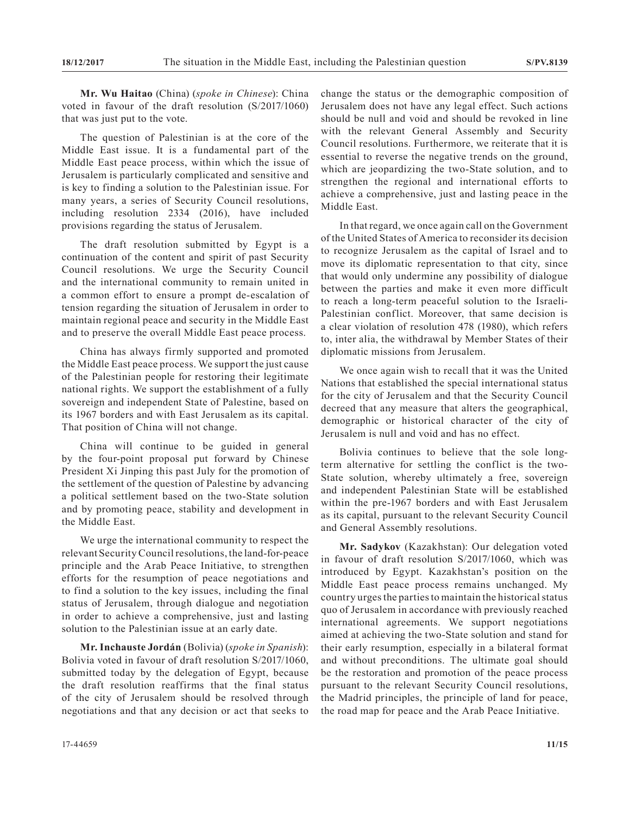**Mr. Wu Haitao** (China) (*spoke in Chinese*): China voted in favour of the draft resolution (S/2017/1060) that was just put to the vote.

The question of Palestinian is at the core of the Middle East issue. It is a fundamental part of the Middle East peace process, within which the issue of Jerusalem is particularly complicated and sensitive and is key to finding a solution to the Palestinian issue. For many years, a series of Security Council resolutions, including resolution 2334 (2016), have included provisions regarding the status of Jerusalem.

The draft resolution submitted by Egypt is a continuation of the content and spirit of past Security Council resolutions. We urge the Security Council and the international community to remain united in a common effort to ensure a prompt de-escalation of tension regarding the situation of Jerusalem in order to maintain regional peace and security in the Middle East and to preserve the overall Middle East peace process.

China has always firmly supported and promoted the Middle East peace process. We support the just cause of the Palestinian people for restoring their legitimate national rights. We support the establishment of a fully sovereign and independent State of Palestine, based on its 1967 borders and with East Jerusalem as its capital. That position of China will not change.

China will continue to be guided in general by the four-point proposal put forward by Chinese President Xi Jinping this past July for the promotion of the settlement of the question of Palestine by advancing a political settlement based on the two-State solution and by promoting peace, stability and development in the Middle East.

We urge the international community to respect the relevant Security Council resolutions, the land-for-peace principle and the Arab Peace Initiative, to strengthen efforts for the resumption of peace negotiations and to find a solution to the key issues, including the final status of Jerusalem, through dialogue and negotiation in order to achieve a comprehensive, just and lasting solution to the Palestinian issue at an early date.

**Mr. Inchauste Jordán** (Bolivia) (*spoke in Spanish*): Bolivia voted in favour of draft resolution S/2017/1060, submitted today by the delegation of Egypt, because the draft resolution reaffirms that the final status of the city of Jerusalem should be resolved through negotiations and that any decision or act that seeks to change the status or the demographic composition of Jerusalem does not have any legal effect. Such actions should be null and void and should be revoked in line with the relevant General Assembly and Security Council resolutions. Furthermore, we reiterate that it is essential to reverse the negative trends on the ground, which are jeopardizing the two-State solution, and to strengthen the regional and international efforts to achieve a comprehensive, just and lasting peace in the Middle East.

In that regard, we once again call on the Government of the United States of America to reconsider its decision to recognize Jerusalem as the capital of Israel and to move its diplomatic representation to that city, since that would only undermine any possibility of dialogue between the parties and make it even more difficult to reach a long-term peaceful solution to the Israeli-Palestinian conflict. Moreover, that same decision is a clear violation of resolution 478 (1980), which refers to, inter alia, the withdrawal by Member States of their diplomatic missions from Jerusalem.

We once again wish to recall that it was the United Nations that established the special international status for the city of Jerusalem and that the Security Council decreed that any measure that alters the geographical, demographic or historical character of the city of Jerusalem is null and void and has no effect.

Bolivia continues to believe that the sole longterm alternative for settling the conflict is the two-State solution, whereby ultimately a free, sovereign and independent Palestinian State will be established within the pre-1967 borders and with East Jerusalem as its capital, pursuant to the relevant Security Council and General Assembly resolutions.

**Mr. Sadykov** (Kazakhstan): Our delegation voted in favour of draft resolution S/2017/1060, which was introduced by Egypt. Kazakhstan's position on the Middle East peace process remains unchanged. My country urges the parties to maintain the historical status quo of Jerusalem in accordance with previously reached international agreements. We support negotiations aimed at achieving the two-State solution and stand for their early resumption, especially in a bilateral format and without preconditions. The ultimate goal should be the restoration and promotion of the peace process pursuant to the relevant Security Council resolutions, the Madrid principles, the principle of land for peace, the road map for peace and the Arab Peace Initiative.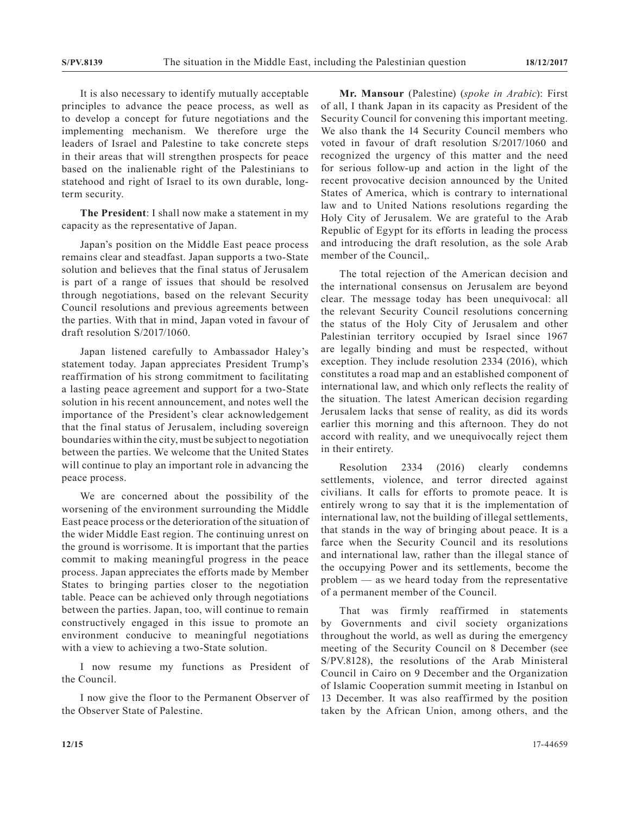It is also necessary to identify mutually acceptable principles to advance the peace process, as well as to develop a concept for future negotiations and the implementing mechanism. We therefore urge the leaders of Israel and Palestine to take concrete steps in their areas that will strengthen prospects for peace based on the inalienable right of the Palestinians to statehood and right of Israel to its own durable, longterm security.

**The President**: I shall now make a statement in my capacity as the representative of Japan.

Japan's position on the Middle East peace process remains clear and steadfast. Japan supports a two-State solution and believes that the final status of Jerusalem is part of a range of issues that should be resolved through negotiations, based on the relevant Security Council resolutions and previous agreements between the parties. With that in mind, Japan voted in favour of draft resolution S/2017/1060.

Japan listened carefully to Ambassador Haley's statement today. Japan appreciates President Trump's reaffirmation of his strong commitment to facilitating a lasting peace agreement and support for a two-State solution in his recent announcement, and notes well the importance of the President's clear acknowledgement that the final status of Jerusalem, including sovereign boundaries within the city, must be subject to negotiation between the parties. We welcome that the United States will continue to play an important role in advancing the peace process.

We are concerned about the possibility of the worsening of the environment surrounding the Middle East peace process or the deterioration of the situation of the wider Middle East region. The continuing unrest on the ground is worrisome. It is important that the parties commit to making meaningful progress in the peace process. Japan appreciates the efforts made by Member States to bringing parties closer to the negotiation table. Peace can be achieved only through negotiations between the parties. Japan, too, will continue to remain constructively engaged in this issue to promote an environment conducive to meaningful negotiations with a view to achieving a two-State solution.

I now resume my functions as President of the Council.

I now give the floor to the Permanent Observer of the Observer State of Palestine.

**Mr. Mansour** (Palestine) (*spoke in Arabic*): First of all, I thank Japan in its capacity as President of the Security Council for convening this important meeting. We also thank the 14 Security Council members who voted in favour of draft resolution S/2017/1060 and recognized the urgency of this matter and the need for serious follow-up and action in the light of the recent provocative decision announced by the United States of America, which is contrary to international law and to United Nations resolutions regarding the Holy City of Jerusalem. We are grateful to the Arab Republic of Egypt for its efforts in leading the process and introducing the draft resolution, as the sole Arab member of the Council,.

The total rejection of the American decision and the international consensus on Jerusalem are beyond clear. The message today has been unequivocal: all the relevant Security Council resolutions concerning the status of the Holy City of Jerusalem and other Palestinian territory occupied by Israel since 1967 are legally binding and must be respected, without exception. They include resolution 2334 (2016), which constitutes a road map and an established component of international law, and which only reflects the reality of the situation. The latest American decision regarding Jerusalem lacks that sense of reality, as did its words earlier this morning and this afternoon. They do not accord with reality, and we unequivocally reject them in their entirety.

Resolution 2334 (2016) clearly condemns settlements, violence, and terror directed against civilians. It calls for efforts to promote peace. It is entirely wrong to say that it is the implementation of international law, not the building of illegal settlements, that stands in the way of bringing about peace. It is a farce when the Security Council and its resolutions and international law, rather than the illegal stance of the occupying Power and its settlements, become the problem — as we heard today from the representative of a permanent member of the Council.

That was firmly reaffirmed in statements by Governments and civil society organizations throughout the world, as well as during the emergency meeting of the Security Council on 8 December (see S/PV.8128), the resolutions of the Arab Ministeral Council in Cairo on 9 December and the Organization of Islamic Cooperation summit meeting in Istanbul on 13 December. It was also reaffirmed by the position taken by the African Union, among others, and the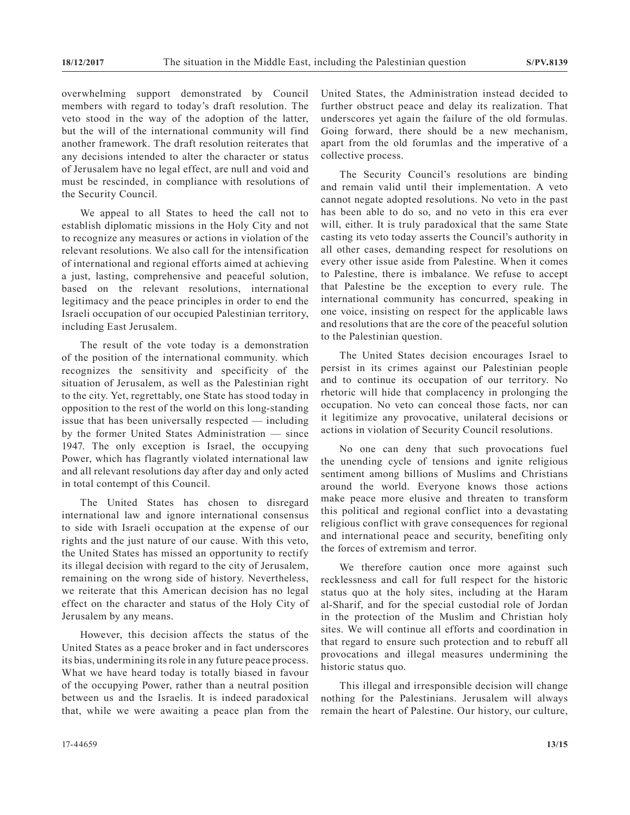overwhelming support demonstrated by Council members with regard to today's draft resolution. The veto stood in the way of the adoption of the latter, but the will of the international community will find another framework. The draft resolution reiterates that any decisions intended to alter the character or status of Jerusalem have no legal effect, are null and void and must be rescinded, in compliance with resolutions of the Security Council.

We appeal to all States to heed the call not to establish diplomatic missions in the Holy City and not to recognize any measures or actions in violation of the relevant resolutions. We also call for the intensification of international and regional efforts aimed at achieving a just, lasting, comprehensive and peaceful solution, based on the relevant resolutions, international legitimacy and the peace principles in order to end the Israeli occupation of our occupied Palestinian territory, including East Jerusalem.

The result of the vote today is a demonstration of the position of the international community. which recognizes the sensitivity and specificity of the situation of Jerusalem, as well as the Palestinian right to the city. Yet, regrettably, one State has stood today in opposition to the rest of the world on this long-standing issue that has been universally respected — including by the former United States Administration — since 1947. The only exception is Israel, the occupying Power, which has flagrantly violated international law and all relevant resolutions day after day and only acted in total contempt of this Council.

The United States has chosen to disregard international law and ignore international consensus to side with Israeli occupation at the expense of our rights and the just nature of our cause. With this veto, the United States has missed an opportunity to rectify its illegal decision with regard to the city of Jerusalem, remaining on the wrong side of history. Nevertheless, we reiterate that this American decision has no legal effect on the character and status of the Holy City of Jerusalem by any means.

However, this decision affects the status of the United States as a peace broker and in fact underscores its bias, undermining its role in any future peace process. What we have heard today is totally biased in favour of the occupying Power, rather than a neutral position between us and the Israelis. It is indeed paradoxical that, while we were awaiting a peace plan from the United States, the Administration instead decided to further obstruct peace and delay its realization. That underscores yet again the failure of the old formulas. Going forward, there should be a new mechanism, apart from the old forumlas and the imperative of a collective process.

The Security Council's resolutions are binding and remain valid until their implementation. A veto cannot negate adopted resolutions. No veto in the past has been able to do so, and no veto in this era ever will, either. It is truly paradoxical that the same State casting its veto today asserts the Council's authority in all other cases, demanding respect for resolutions on every other issue aside from Palestine. When it comes to Palestine, there is imbalance. We refuse to accept that Palestine be the exception to every rule. The international community has concurred, speaking in one voice, insisting on respect for the applicable laws and resolutions that are the core of the peaceful solution to the Palestinian question.

The United States decision encourages Israel to persist in its crimes against our Palestinian people and to continue its occupation of our territory. No rhetoric will hide that complacency in prolonging the occupation. No veto can conceal those facts, nor can it legitimize any provocative, unilateral decisions or actions in violation of Security Council resolutions.

No one can deny that such provocations fuel the unending cycle of tensions and ignite religious sentiment among billions of Muslims and Christians around the world. Everyone knows those actions make peace more elusive and threaten to transform this political and regional conflict into a devastating religious conflict with grave consequences for regional and international peace and security, benefiting only the forces of extremism and terror.

We therefore caution once more against such recklessness and call for full respect for the historic status quo at the holy sites, including at the Haram al-Sharif, and for the special custodial role of Jordan in the protection of the Muslim and Christian holy sites. We will continue all efforts and coordination in that regard to ensure such protection and to rebuff all provocations and illegal measures undermining the historic status quo.

This illegal and irresponsible decision will change nothing for the Palestinians. Jerusalem will always remain the heart of Palestine. Our history, our culture,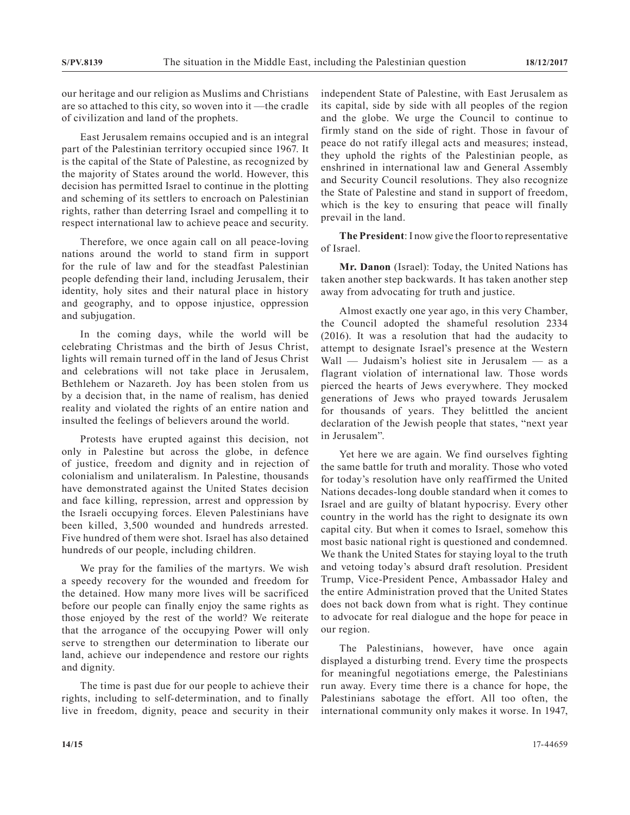our heritage and our religion as Muslims and Christians are so attached to this city, so woven into it —the cradle of civilization and land of the prophets.

East Jerusalem remains occupied and is an integral part of the Palestinian territory occupied since 1967. It is the capital of the State of Palestine, as recognized by the majority of States around the world. However, this decision has permitted Israel to continue in the plotting and scheming of its settlers to encroach on Palestinian rights, rather than deterring Israel and compelling it to respect international law to achieve peace and security.

Therefore, we once again call on all peace-loving nations around the world to stand firm in support for the rule of law and for the steadfast Palestinian people defending their land, including Jerusalem, their identity, holy sites and their natural place in history and geography, and to oppose injustice, oppression and subjugation.

In the coming days, while the world will be celebrating Christmas and the birth of Jesus Christ, lights will remain turned off in the land of Jesus Christ and celebrations will not take place in Jerusalem, Bethlehem or Nazareth. Joy has been stolen from us by a decision that, in the name of realism, has denied reality and violated the rights of an entire nation and insulted the feelings of believers around the world.

Protests have erupted against this decision, not only in Palestine but across the globe, in defence of justice, freedom and dignity and in rejection of colonialism and unilateralism. In Palestine, thousands have demonstrated against the United States decision and face killing, repression, arrest and oppression by the Israeli occupying forces. Eleven Palestinians have been killed, 3,500 wounded and hundreds arrested. Five hundred of them were shot. Israel has also detained hundreds of our people, including children.

We pray for the families of the martyrs. We wish a speedy recovery for the wounded and freedom for the detained. How many more lives will be sacrificed before our people can finally enjoy the same rights as those enjoyed by the rest of the world? We reiterate that the arrogance of the occupying Power will only serve to strengthen our determination to liberate our land, achieve our independence and restore our rights and dignity.

The time is past due for our people to achieve their rights, including to self-determination, and to finally live in freedom, dignity, peace and security in their

independent State of Palestine, with East Jerusalem as its capital, side by side with all peoples of the region and the globe. We urge the Council to continue to firmly stand on the side of right. Those in favour of peace do not ratify illegal acts and measures; instead, they uphold the rights of the Palestinian people, as enshrined in international law and General Assembly and Security Council resolutions. They also recognize the State of Palestine and stand in support of freedom, which is the key to ensuring that peace will finally prevail in the land.

**The President**: I now give the floor to representative of Israel.

**Mr. Danon** (Israel): Today, the United Nations has taken another step backwards. It has taken another step away from advocating for truth and justice.

Almost exactly one year ago, in this very Chamber, the Council adopted the shameful resolution 2334 (2016). It was a resolution that had the audacity to attempt to designate Israel's presence at the Western Wall — Judaism's holiest site in Jerusalem — as a flagrant violation of international law. Those words pierced the hearts of Jews everywhere. They mocked generations of Jews who prayed towards Jerusalem for thousands of years. They belittled the ancient declaration of the Jewish people that states, "next year in Jerusalem".

Yet here we are again. We find ourselves fighting the same battle for truth and morality. Those who voted for today's resolution have only reaffirmed the United Nations decades-long double standard when it comes to Israel and are guilty of blatant hypocrisy. Every other country in the world has the right to designate its own capital city. But when it comes to Israel, somehow this most basic national right is questioned and condemned. We thank the United States for staying loyal to the truth and vetoing today's absurd draft resolution. President Trump, Vice-President Pence, Ambassador Haley and the entire Administration proved that the United States does not back down from what is right. They continue to advocate for real dialogue and the hope for peace in our region.

The Palestinians, however, have once again displayed a disturbing trend. Every time the prospects for meaningful negotiations emerge, the Palestinians run away. Every time there is a chance for hope, the Palestinians sabotage the effort. All too often, the international community only makes it worse. In 1947,